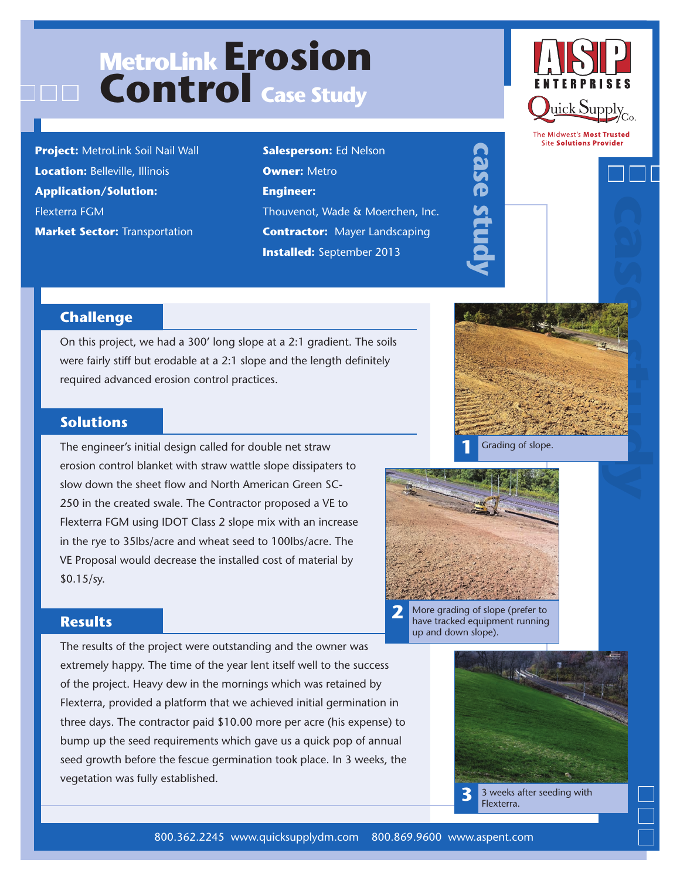# **MetroLink Erosion Control Case Study**

**Project:** MetroLink Soil Nail Wall **Location:** Belleville, Illinois **Application/Solution:**  Flexterra FGM **Market Sector: Transportation** 

**Salesperson:** Ed Nelson **Owner:** Metro **Engineer:** Thouvenot, Wade & Moerchen, Inc. **Contractor:** Mayer Landscaping **Installed:** September 2013



The Midwest's Most Trusted **Site Solutions Provider** 



## **Challenge**

On this project, we had a 300' long slope at a 2:1 gradient. The soils were fairly stiff but erodable at a 2:1 slope and the length definitely required advanced erosion control practices.

### **Solutions**

The engineer's initial design called for double net straw erosion control blanket with straw wattle slope dissipaters to slow down the sheet flow and North American Green SC-250 in the created swale. The Contractor proposed a VE to Flexterra FGM using IDOT Class 2 slope mix with an increase in the rye to 35lbs/acre and wheat seed to 100lbs/acre. The VE Proposal would decrease the installed cost of material by \$0.15/sy.





**case study**

**2** More grading of slope (prefer to have tracked equipment running up and down slope).

#### **Results**

The results of the project were outstanding and the owner was extremely happy. The time of the year lent itself well to the success of the project. Heavy dew in the mornings which was retained by Flexterra, provided a platform that we achieved initial germination in three days. The contractor paid \$10.00 more per acre (his expense) to bump up the seed requirements which gave us a quick pop of annual seed growth before the fescue germination took place. In 3 weeks, the vegetation was fully established.



**3** 3 weeks after seeding with Flexterra.